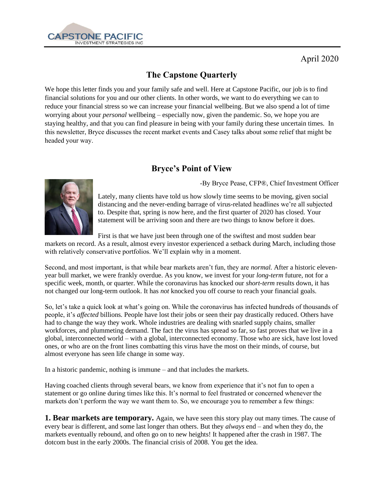

# **The Capstone Quarterly**

We hope this letter finds you and your family safe and well. Here at Capstone Pacific, our job is to find financial solutions for you and our other clients. In other words, we want to do everything we can to reduce your financial stress so we can increase your financial wellbeing. But we also spend a lot of time worrying about your *personal* wellbeing – especially now, given the pandemic. So, we hope you are staying healthy, and that you can find pleasure in being with your family during these uncertain times. In this newsletter, Bryce discusses the recent market events and Casey talks about some relief that might be headed your way.

### **Bryce's Point of View**





Lately, many clients have told us how slowly time seems to be moving, given social distancing and the never-ending barrage of virus-related headlines we're all subjected to. Despite that, spring is now here, and the first quarter of 2020 has closed. Your statement will be arriving soon and there are two things to know before it does.

First is that we have just been through one of the swiftest and most sudden bear markets on record. As a result, almost every investor experienced a setback during March, including those with relatively conservative portfolios. We'll explain why in a moment.

Second, and most important, is that while bear markets aren't fun, they are *normal.* After a historic elevenyear bull market, we were frankly overdue. As you know, we invest for your *long-term* future, not for a specific week, month, or quarter. While the coronavirus has knocked our *short-term* results down, it has not changed our long-term outlook. It has *not* knocked you off course to reach your financial goals.

So, let's take a quick look at what's going on. While the coronavirus has infected hundreds of thousands of people, it's *affected* billions. People have lost their jobs or seen their pay drastically reduced. Others have had to change the way they work. Whole industries are dealing with snarled supply chains, smaller workforces, and plummeting demand. The fact the virus has spread so far, so fast proves that we live in a global, interconnected world – with a global, interconnected economy. Those who are sick, have lost loved ones, or who are on the front lines combatting this virus have the most on their minds, of course, but almost everyone has seen life change in some way.

In a historic pandemic, nothing is immune – and that includes the markets.

Having coached clients through several bears, we know from experience that it's not fun to open a statement or go online during times like this. It's normal to feel frustrated or concerned whenever the markets don't perform the way we want them to. So, we encourage you to remember a few things:

**1. Bear markets are temporary.** Again, we have seen this story play out many times. The cause of every bear is different, and some last longer than others. But they *always* end – and when they do, the markets eventually rebound, and often go on to new heights! It happened after the crash in 1987. The dotcom bust in the early 2000s. The financial crisis of 2008. You get the idea.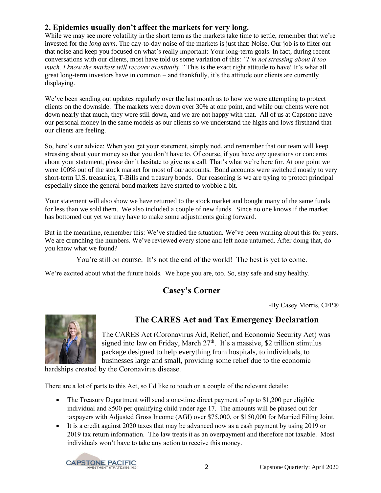#### **2. Epidemics usually don't affect the markets for very long.**

While we may see more volatility in the short term as the markets take time to settle, remember that we're invested for the *long term*. The day-to-day noise of the markets is just that: Noise. Our job is to filter out that noise and keep you focused on what's really important: Your long-term goals. In fact, during recent conversations with our clients, most have told us some variation of this: *"I'm not stressing about it too much. I know the markets will recover eventually."* This is the exact right attitude to have! It's what all great long-term investors have in common – and thankfully, it's the attitude our clients are currently displaying.

We've been sending out updates regularly over the last month as to how we were attempting to protect clients on the downside. The markets were down over 30% at one point, and while our clients were not down nearly that much, they were still down, and we are not happy with that. All of us at Capstone have our personal money in the same models as our clients so we understand the highs and lows firsthand that our clients are feeling.

So, here's our advice: When you get your statement, simply nod, and remember that our team will keep stressing about your money so that you don't have to. Of course, if you have *any* questions or concerns about your statement, please don't hesitate to give us a call. That's what we're here for. At one point we were 100% out of the stock market for most of our accounts. Bond accounts were switched mostly to very short-term U.S. treasuries, T-Bills and treasury bonds. Our reasoning is we are trying to protect principal especially since the general bond markets have started to wobble a bit.

Your statement will also show we have returned to the stock market and bought many of the same funds for less than we sold them. We also included a couple of new funds. Since no one knows if the market has bottomed out yet we may have to make some adjustments going forward.

But in the meantime, remember this: We've studied the situation. We've been warning about this for years. We are crunching the numbers. We've reviewed every stone and left none unturned. After doing that, do you know what we found?

You're still on course. It's not the end of the world! The best is yet to come.

We're excited about what the future holds. We hope you are, too. So, stay safe and stay healthy.

## **Casey's Corner**

-By Casey Morris, CFP®



## **The CARES Act and Tax Emergency Declaration**

The CARES Act (Coronavirus Aid, Relief, and Economic Security Act) was signed into law on Friday, March  $27<sup>th</sup>$ . It's a massive, \$2 trillion stimulus package designed to help everything from hospitals, to individuals, to businesses large and small, providing some relief due to the economic

hardships created by the Coronavirus disease.

There are a lot of parts to this Act, so I'd like to touch on a couple of the relevant details:

- The Treasury Department will send a one-time direct payment of up to \$1,200 per eligible individual and \$500 per qualifying child under age 17. The amounts will be phased out for taxpayers with Adjusted Gross Income (AGI) over \$75,000, or \$150,000 for Married Filing Joint.
- It is a credit against 2020 taxes that may be advanced now as a cash payment by using 2019 or 2019 tax return information. The law treats it as an overpayment and therefore not taxable. Most individuals won't have to take any action to receive this money.